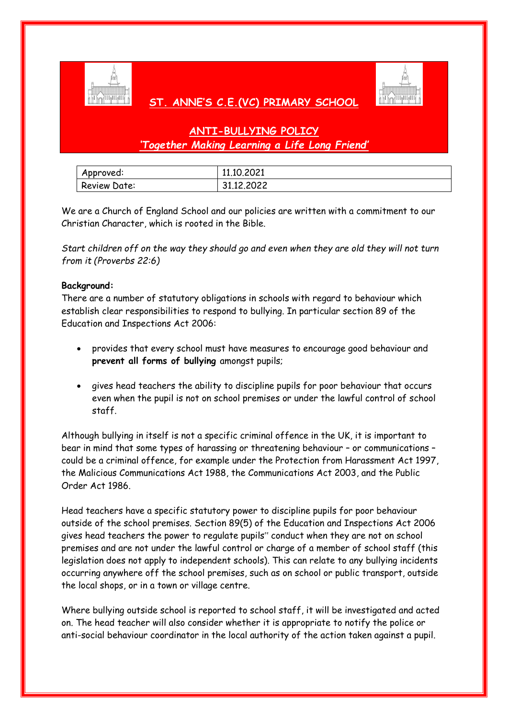

# **ST. ANNE'S C.E.(VC) PRIMARY SCHOOL**



# **ANTI-BULLYING POLICY** *'Together Making Learning a Life Long Friend'*

| Approved:           | 11, 10, 2021 |
|---------------------|--------------|
| <b>Review Date:</b> | 31.12,2022   |

We are a Church of England School and our policies are written with a commitment to our Christian Character, which is rooted in the Bible.

*Start children off on the way they should go and even when they are old they will not turn from it (Proverbs 22:6)*

# **Background:**

There are a number of statutory obligations in schools with regard to behaviour which establish clear responsibilities to respond to bullying. In particular section 89 of the Education and Inspections Act 2006:

- provides that every school must have measures to encourage good behaviour and **prevent all forms of bullying** amongst pupils;
- gives head teachers the ability to discipline pupils for poor behaviour that occurs even when the pupil is not on school premises or under the lawful control of school staff.

Although bullying in itself is not a specific criminal offence in the UK, it is important to bear in mind that some types of harassing or threatening behaviour – or communications – could be a criminal offence, for example under the Protection from Harassment Act 1997, the Malicious Communications Act 1988, the Communications Act 2003, and the Public Order Act 1986.

Head teachers have a specific statutory power to discipline pupils for poor behaviour outside of the school premises. Section 89(5) of the Education and Inspections Act 2006 gives head teachers the power to regulate pupils" conduct when they are not on school premises and are not under the lawful control or charge of a member of school staff (this legislation does not apply to independent schools). This can relate to any bullying incidents occurring anywhere off the school premises, such as on school or public transport, outside the local shops, or in a town or village centre.

Where bullying outside school is reported to school staff, it will be investigated and acted on. The head teacher will also consider whether it is appropriate to notify the police or anti-social behaviour coordinator in the local authority of the action taken against a pupil.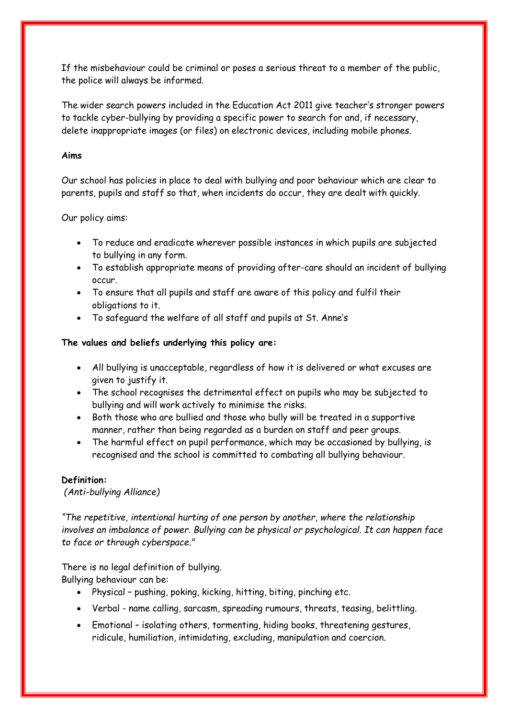If the misbehaviour could be criminal or poses a serious threat to a member of the public, the police will always be informed.

The wider search powers included in the Education Act 2011 give teacher's stronger powers to tackle cyber-bullying by providing a specific power to search for and, if necessary, delete inappropriate images (or files) on electronic devices, including mobile phones.

#### **Aims**

Our school has policies in place to deal with bullying and poor behaviour which are clear to parents, pupils and staff so that, when incidents do occur, they are dealt with quickly.

### Our policy aims:

- To reduce and eradicate wherever possible instances in which pupils are subjected to bullying in any form.
- To establish appropriate means of providing after-care should an incident of bullying occur.
- To ensure that all pupils and staff are aware of this policy and fulfil their obligations to it.
- To safeguard the welfare of all staff and pupils at St. Anne's

### **The values and beliefs underlying this policy are:**

- All bullying is unacceptable, regardless of how it is delivered or what excuses are given to justify it.
- The school recognises the detrimental effect on pupils who may be subjected to bullying and will work actively to minimise the risks.
- Both those who are bullied and those who bully will be treated in a supportive manner, rather than being regarded as a burden on staff and peer groups.
- The harmful effect on pupil performance, which may be occasioned by bullying, is recognised and the school is committed to combating all bullying behaviour.

### **Definition:**

*(Anti-bullying Alliance)* 

*"The repetitive, intentional hurting of one person by another, where the relationship involves an imbalance of power. Bullying can be physical or psychological. It can happen face to face or through cyberspace."* 

There is no legal definition of bullying.

Bullying behaviour can be:

- Physical pushing, poking, kicking, hitting, biting, pinching etc.
- Verbal name calling, sarcasm, spreading rumours, threats, teasing, belittling.
- Emotional isolating others, tormenting, hiding books, threatening gestures, ridicule, humiliation, intimidating, excluding, manipulation and coercion.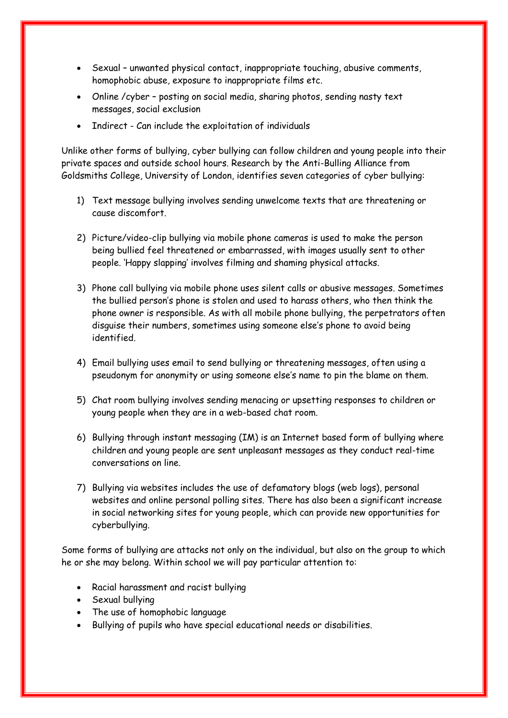- Sexual unwanted physical contact, inappropriate touching, abusive comments, homophobic abuse, exposure to inappropriate films etc.
- Online /cyber posting on social media, sharing photos, sending nasty text messages, social exclusion
- Indirect Can include the exploitation of individuals

Unlike other forms of bullying, cyber bullying can follow children and young people into their private spaces and outside school hours. Research by the Anti-Bulling Alliance from Goldsmiths College, University of London, identifies seven categories of cyber bullying:

- 1) Text message bullying involves sending unwelcome texts that are threatening or cause discomfort.
- 2) Picture/video-clip bullying via mobile phone cameras is used to make the person being bullied feel threatened or embarrassed, with images usually sent to other people. 'Happy slapping' involves filming and shaming physical attacks.
- 3) Phone call bullying via mobile phone uses silent calls or abusive messages. Sometimes the bullied person's phone is stolen and used to harass others, who then think the phone owner is responsible. As with all mobile phone bullying, the perpetrators often disguise their numbers, sometimes using someone else's phone to avoid being identified.
- 4) Email bullying uses email to send bullying or threatening messages, often using a pseudonym for anonymity or using someone else's name to pin the blame on them.
- 5) Chat room bullying involves sending menacing or upsetting responses to children or young people when they are in a web-based chat room.
- 6) Bullying through instant messaging (IM) is an Internet based form of bullying where children and young people are sent unpleasant messages as they conduct real-time conversations on line.
- 7) Bullying via websites includes the use of defamatory blogs (web logs), personal websites and online personal polling sites. There has also been a significant increase in social networking sites for young people, which can provide new opportunities for cyberbullying.

Some forms of bullying are attacks not only on the individual, but also on the group to which he or she may belong. Within school we will pay particular attention to:

- Racial harassment and racist bullying
- Sexual bullying
- The use of homophobic language
- Bullying of pupils who have special educational needs or disabilities.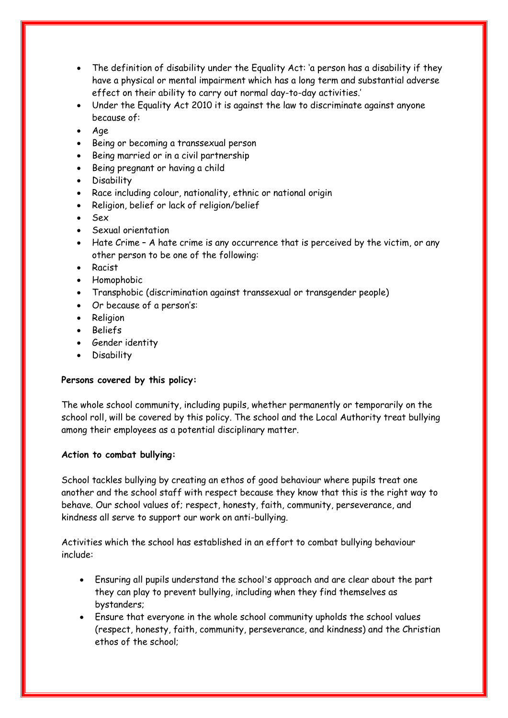- The definition of disability under the Equality Act: 'a person has a disability if they have a physical or mental impairment which has a long term and substantial adverse effect on their ability to carry out normal day-to-day activities.'
- Under the Equality Act 2010 it is against the law to discriminate against anyone because of:
- Age
- Being or becoming a transsexual person
- Being married or in a civil partnership
- Being pregnant or having a child
- Disability
- Race including colour, nationality, ethnic or national origin
- Religion, belief or lack of religion/belief
- Sex
- Sexual orientation
- Hate Crime A hate crime is any occurrence that is perceived by the victim, or any other person to be one of the following:
- Racist
- Homophobic
- Transphobic (discrimination against transsexual or transgender people)
- Or because of a person's:
- Religion
- Beliefs
- Gender identity
- Disability

### **Persons covered by this policy:**

The whole school community, including pupils, whether permanently or temporarily on the school roll, will be covered by this policy. The school and the Local Authority treat bullying among their employees as a potential disciplinary matter.

### **Action to combat bullying:**

School tackles bullying by creating an ethos of good behaviour where pupils treat one another and the school staff with respect because they know that this is the right way to behave. Our school values of; respect, honesty, faith, community, perseverance, and kindness all serve to support our work on anti-bullying.

Activities which the school has established in an effort to combat bullying behaviour include:

- Ensuring all pupils understand the school's approach and are clear about the part they can play to prevent bullying, including when they find themselves as bystanders;
- Ensure that everyone in the whole school community upholds the school values (respect, honesty, faith, community, perseverance, and kindness) and the Christian ethos of the school;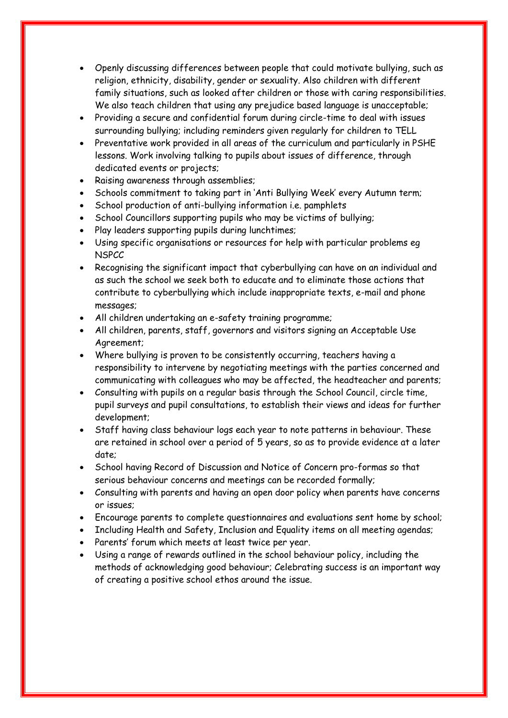- Openly discussing differences between people that could motivate bullying, such as religion, ethnicity, disability, gender or sexuality. Also children with different family situations, such as looked after children or those with caring responsibilities. We also teach children that using any prejudice based language is unacceptable;
- Providing a secure and confidential forum during circle-time to deal with issues surrounding bullying; including reminders given regularly for children to TELL
- Preventative work provided in all areas of the curriculum and particularly in PSHE lessons. Work involving talking to pupils about issues of difference, through dedicated events or projects;
- Raising awareness through assemblies;
- Schools commitment to taking part in 'Anti Bullying Week' every Autumn term;
- School production of anti-bullying information i.e. pamphlets
- School Councillors supporting pupils who may be victims of bullying;
- Play leaders supporting pupils during lunchtimes;
- Using specific organisations or resources for help with particular problems eg **NSPCC**
- Recognising the significant impact that cyberbullying can have on an individual and as such the school we seek both to educate and to eliminate those actions that contribute to cyberbullying which include inappropriate texts, e-mail and phone messages;
- All children undertaking an e-safety training programme;
- All children, parents, staff, governors and visitors signing an Acceptable Use Agreement;
- Where bullying is proven to be consistently occurring, teachers having a responsibility to intervene by negotiating meetings with the parties concerned and communicating with colleagues who may be affected, the headteacher and parents;
- Consulting with pupils on a regular basis through the School Council, circle time, pupil surveys and pupil consultations, to establish their views and ideas for further development;
- Staff having class behaviour logs each year to note patterns in behaviour. These are retained in school over a period of 5 years, so as to provide evidence at a later date;
- School having Record of Discussion and Notice of Concern pro-formas so that serious behaviour concerns and meetings can be recorded formally;
- Consulting with parents and having an open door policy when parents have concerns or issues;
- Encourage parents to complete questionnaires and evaluations sent home by school;
- Including Health and Safety, Inclusion and Equality items on all meeting agendas;
- Parents' forum which meets at least twice per year.
- Using a range of rewards outlined in the school behaviour policy, including the methods of acknowledging good behaviour; Celebrating success is an important way of creating a positive school ethos around the issue.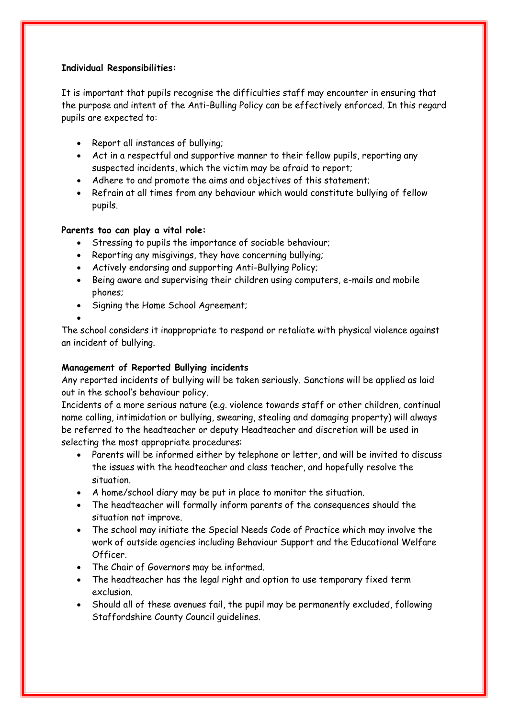# **Individual Responsibilities:**

It is important that pupils recognise the difficulties staff may encounter in ensuring that the purpose and intent of the Anti-Bulling Policy can be effectively enforced. In this regard pupils are expected to:

- Report all instances of bullying;
- Act in a respectful and supportive manner to their fellow pupils, reporting any suspected incidents, which the victim may be afraid to report;
- Adhere to and promote the aims and objectives of this statement;
- Refrain at all times from any behaviour which would constitute bullying of fellow pupils.

# **Parents too can play a vital role:**

- Stressing to pupils the importance of sociable behaviour;
- Reporting any misgivings, they have concerning bullying;
- Actively endorsing and supporting Anti-Bullying Policy;
- Being aware and supervising their children using computers, e-mails and mobile phones;
- Signing the Home School Agreement;

 $\bullet$ 

The school considers it inappropriate to respond or retaliate with physical violence against an incident of bullying.

# **Management of Reported Bullying incidents**

Any reported incidents of bullying will be taken seriously. Sanctions will be applied as laid out in the school's behaviour policy.

Incidents of a more serious nature (e.g. violence towards staff or other children, continual name calling, intimidation or bullying, swearing, stealing and damaging property) will always be referred to the headteacher or deputy Headteacher and discretion will be used in selecting the most appropriate procedures:

- Parents will be informed either by telephone or letter, and will be invited to discuss the issues with the headteacher and class teacher, and hopefully resolve the situation.
- A home/school diary may be put in place to monitor the situation.
- The headteacher will formally inform parents of the consequences should the situation not improve.
- The school may initiate the Special Needs Code of Practice which may involve the work of outside agencies including Behaviour Support and the Educational Welfare Officer.
- The Chair of Governors may be informed.
- The headteacher has the legal right and option to use temporary fixed term exclusion.
- Should all of these avenues fail, the pupil may be permanently excluded, following Staffordshire County Council guidelines.